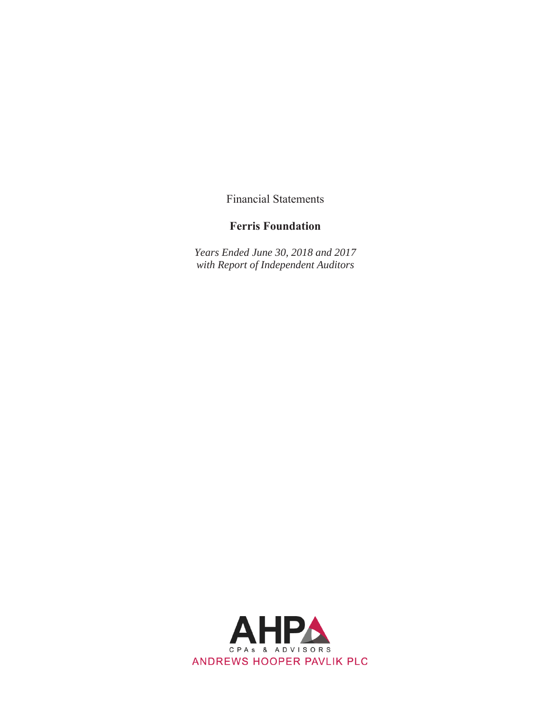Financial Statements

# **Ferris Foundation**

*Years Ended June 30, 2018 and 2017 with Report of Independent Auditors* 

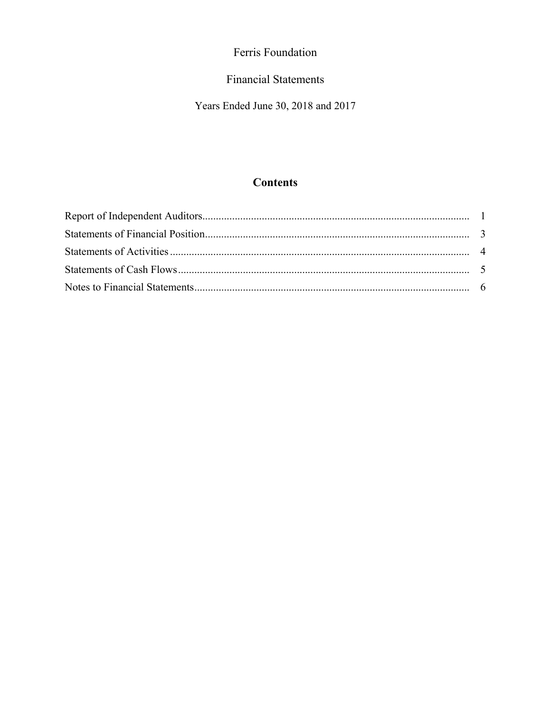# **Financial Statements**

Years Ended June 30, 2018 and 2017

# **Contents**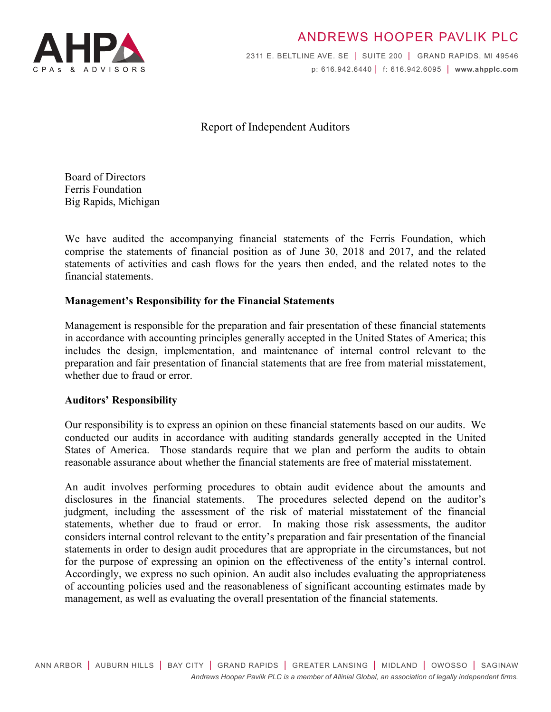

# ANDREWS HOOPER PAVLIK PLC

2311 E. BELTLINE AVE. SE | SUITE 200 | GRAND RAPIDS, MI 49546 p: 616.942.6440 | f: 616.942.6095 | **www.ahpplc.com**

Report of Independent Auditors

Board of Directors Ferris Foundation Big Rapids, Michigan

We have audited the accompanying financial statements of the Ferris Foundation, which comprise the statements of financial position as of June 30, 2018 and 2017, and the related statements of activities and cash flows for the years then ended, and the related notes to the financial statements.

## **Management's Responsibility for the Financial Statements**

Management is responsible for the preparation and fair presentation of these financial statements in accordance with accounting principles generally accepted in the United States of America; this includes the design, implementation, and maintenance of internal control relevant to the preparation and fair presentation of financial statements that are free from material misstatement, whether due to fraud or error.

#### **Auditors' Responsibility**

Our responsibility is to express an opinion on these financial statements based on our audits. We conducted our audits in accordance with auditing standards generally accepted in the United States of America. Those standards require that we plan and perform the audits to obtain reasonable assurance about whether the financial statements are free of material misstatement.

An audit involves performing procedures to obtain audit evidence about the amounts and disclosures in the financial statements. The procedures selected depend on the auditor's judgment, including the assessment of the risk of material misstatement of the financial statements, whether due to fraud or error. In making those risk assessments, the auditor considers internal control relevant to the entity's preparation and fair presentation of the financial statements in order to design audit procedures that are appropriate in the circumstances, but not for the purpose of expressing an opinion on the effectiveness of the entity's internal control. Accordingly, we express no such opinion. An audit also includes evaluating the appropriateness of accounting policies used and the reasonableness of significant accounting estimates made by management, as well as evaluating the overall presentation of the financial statements.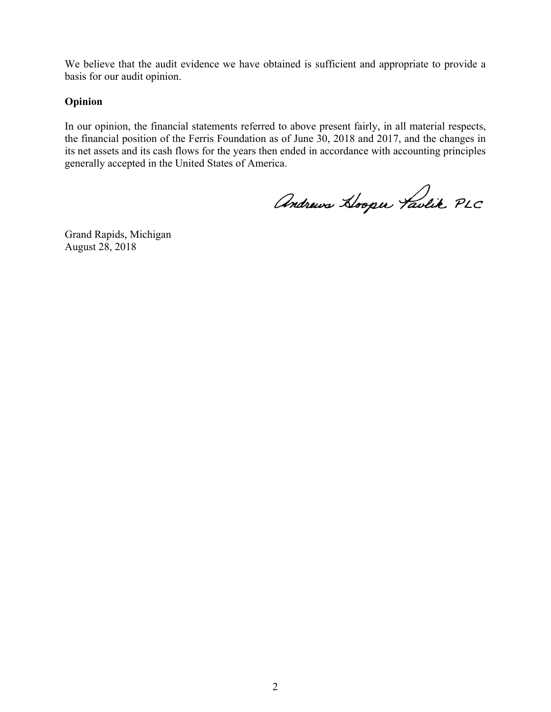We believe that the audit evidence we have obtained is sufficient and appropriate to provide a basis for our audit opinion.

## **Opinion**

In our opinion, the financial statements referred to above present fairly, in all material respects, the financial position of the Ferris Foundation as of June 30, 2018 and 2017, and the changes in its net assets and its cash flows for the years then ended in accordance with accounting principles generally accepted in the United States of America.

Andrews Hooper Taulik PLC

Grand Rapids, Michigan August 28, 2018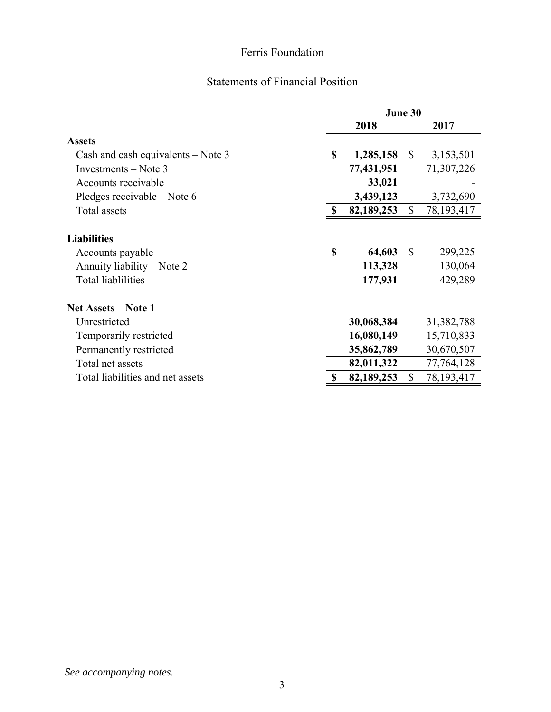# Statements of Financial Position

|                                      | June 30 |            |              |              |
|--------------------------------------|---------|------------|--------------|--------------|
|                                      |         | 2018       |              | 2017         |
| <b>Assets</b>                        |         |            |              |              |
| Cash and cash equivalents $-$ Note 3 | \$      | 1,285,158  | $\mathbb{S}$ | 3,153,501    |
| Investments – Note 3                 |         | 77,431,951 |              | 71,307,226   |
| Accounts receivable                  |         | 33,021     |              |              |
| Pledges receivable – Note 6          |         | 3,439,123  |              | 3,732,690    |
| Total assets                         | -S      | 82,189,253 | $\mathbb{S}$ | 78, 193, 417 |
|                                      |         |            |              |              |
| <b>Liabilities</b>                   |         |            |              |              |
| Accounts payable                     | \$      | 64,603     | $\mathbb{S}$ | 299,225      |
| Annuity liability – Note 2           |         | 113,328    |              | 130,064      |
| <b>Total liablilities</b>            |         | 177,931    |              | 429,289      |
| Net Assets – Note 1                  |         |            |              |              |
| Unrestricted                         |         | 30,068,384 |              | 31,382,788   |
| Temporarily restricted               |         | 16,080,149 |              | 15,710,833   |
| Permanently restricted               |         | 35,862,789 |              | 30,670,507   |
| Total net assets                     |         | 82,011,322 |              | 77,764,128   |
| Total liabilities and net assets     | S       | 82,189,253 | \$           | 78, 193, 417 |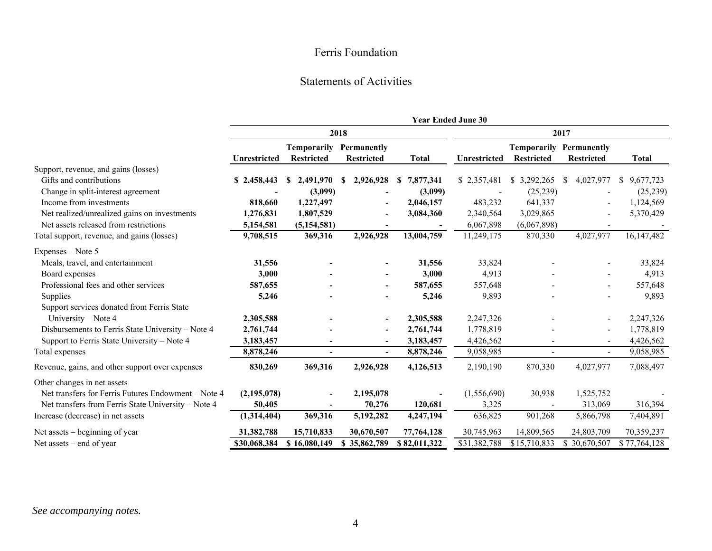#### Statements of Activities

|                                                     |               |                                  |                                  |                 | <b>Year Ended June 30</b> |                                         |                                  |                 |
|-----------------------------------------------------|---------------|----------------------------------|----------------------------------|-----------------|---------------------------|-----------------------------------------|----------------------------------|-----------------|
|                                                     | 2018          |                                  |                                  |                 |                           | 2017                                    |                                  |                 |
|                                                     | Unrestricted  | Temporarily<br><b>Restricted</b> | Permanently<br><b>Restricted</b> | <b>Total</b>    | Unrestricted              | <b>Temporarily</b><br><b>Restricted</b> | Permanently<br><b>Restricted</b> | <b>Total</b>    |
| Support, revenue, and gains (losses)                |               |                                  |                                  |                 |                           |                                         |                                  |                 |
| Gifts and contributions                             | \$2,458,443   | 2,491,970<br>S                   | 2,926,928<br><b>S</b>            | 7,877,341<br>\$ | \$2,357,481               | 3,292,265<br>S.                         | 4,027,977<br>S                   | 9,677,723<br>\$ |
| Change in split-interest agreement                  |               | (3,099)                          |                                  | (3,099)         |                           | (25, 239)                               |                                  | (25,239)        |
| Income from investments                             | 818,660       | 1,227,497                        |                                  | 2,046,157       | 483,232                   | 641,337                                 |                                  | 1,124,569       |
| Net realized/unrealized gains on investments        | 1,276,831     | 1,807,529                        |                                  | 3,084,360       | 2,340,564                 | 3,029,865                               |                                  | 5,370,429       |
| Net assets released from restrictions               | 5,154,581     | (5, 154, 581)                    |                                  |                 | 6,067,898                 | (6,067,898)                             |                                  |                 |
| Total support, revenue, and gains (losses)          | 9,708,515     | 369,316                          | 2,926,928                        | 13,004,759      | 11,249,175                | 870,330                                 | 4,027,977                        | 16,147,482      |
| Expenses - Note 5                                   |               |                                  |                                  |                 |                           |                                         |                                  |                 |
| Meals, travel, and entertainment                    | 31,556        |                                  |                                  | 31,556          | 33,824                    |                                         |                                  | 33,824          |
| Board expenses                                      | 3,000         |                                  |                                  | 3,000           | 4,913                     |                                         |                                  | 4,913           |
| Professional fees and other services                | 587,655       |                                  | $\overline{\phantom{a}}$         | 587,655         | 557,648                   |                                         |                                  | 557,648         |
| Supplies                                            | 5,246         |                                  |                                  | 5,246           | 9,893                     |                                         |                                  | 9,893           |
| Support services donated from Ferris State          |               |                                  |                                  |                 |                           |                                         |                                  |                 |
| University - Note 4                                 | 2,305,588     |                                  |                                  | 2,305,588       | 2,247,326                 |                                         |                                  | 2,247,326       |
| Disbursements to Ferris State University - Note 4   | 2,761,744     |                                  |                                  | 2,761,744       | 1,778,819                 |                                         |                                  | 1,778,819       |
| Support to Ferris State University - Note 4         | 3,183,457     |                                  |                                  | 3,183,457       | 4,426,562                 |                                         |                                  | 4,426,562       |
| Total expenses                                      | 8,878,246     |                                  |                                  | 8,878,246       | 9,058,985                 |                                         |                                  | 9,058,985       |
| Revenue, gains, and other support over expenses     | 830,269       | 369,316                          | 2,926,928                        | 4,126,513       | 2,190,190                 | 870,330                                 | 4,027,977                        | 7,088,497       |
| Other changes in net assets                         |               |                                  |                                  |                 |                           |                                         |                                  |                 |
| Net transfers for Ferris Futures Endowment - Note 4 | (2, 195, 078) |                                  | 2,195,078                        |                 | (1,556,690)               | 30,938                                  | 1,525,752                        |                 |
| Net transfers from Ferris State University - Note 4 | 50,405        |                                  | 70,276                           | 120,681         | 3,325                     |                                         | 313,069                          | 316,394         |
| Increase (decrease) in net assets                   | (1,314,404)   | 369,316                          | 5,192,282                        | 4,247,194       | 636,825                   | 901,268                                 | 5,866,798                        | 7,404,891       |
| Net assets – beginning of year                      | 31,382,788    | 15,710,833                       | 30,670,507                       | 77,764,128      | 30,745,963                | 14,809,565                              | 24,803,709                       | 70,359,237      |
| Net assets $-$ end of year                          | \$30,068,384  | \$16,080,149                     | \$35,862,789                     | \$82,011,322    | \$31,382,788              | \$15,710,833                            | \$30,670,507                     | \$77,764,128    |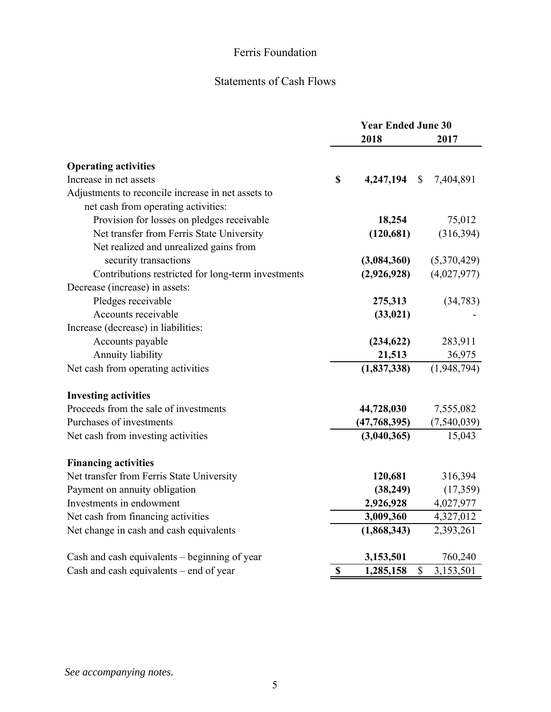# Statements of Cash Flows

|                                                    | <b>Year Ended June 30</b> |               |                           |
|----------------------------------------------------|---------------------------|---------------|---------------------------|
|                                                    |                           | 2018          | 2017                      |
| <b>Operating activities</b>                        |                           |               |                           |
| Increase in net assets                             | $\mathbf S$               | 4,247,194     | $\mathbb{S}$<br>7,404,891 |
| Adjustments to reconcile increase in net assets to |                           |               |                           |
| net cash from operating activities:                |                           |               |                           |
| Provision for losses on pledges receivable         |                           | 18,254        | 75,012                    |
| Net transfer from Ferris State University          |                           | (120, 681)    | (316, 394)                |
| Net realized and unrealized gains from             |                           |               |                           |
| security transactions                              |                           | (3,084,360)   | (5,370,429)               |
| Contributions restricted for long-term investments |                           | (2,926,928)   | (4,027,977)               |
| Decrease (increase) in assets:                     |                           |               |                           |
| Pledges receivable                                 |                           | 275,313       | (34,783)                  |
| Accounts receivable                                |                           | (33, 021)     |                           |
| Increase (decrease) in liabilities:                |                           |               |                           |
| Accounts payable                                   |                           | (234, 622)    | 283,911                   |
| Annuity liability                                  |                           | 21,513        | 36,975                    |
| Net cash from operating activities                 |                           | (1, 837, 338) | (1,948,794)               |
| <b>Investing activities</b>                        |                           |               |                           |
| Proceeds from the sale of investments              |                           | 44,728,030    | 7,555,082                 |
| Purchases of investments                           |                           | (47,768,395)  | (7,540,039)               |
| Net cash from investing activities                 |                           | (3,040,365)   | 15,043                    |
| <b>Financing activities</b>                        |                           |               |                           |
| Net transfer from Ferris State University          |                           | 120,681       | 316,394                   |
| Payment on annuity obligation                      |                           | (38, 249)     | (17,359)                  |
| Investments in endowment                           |                           | 2,926,928     | 4,027,977                 |
| Net cash from financing activities                 |                           | 3,009,360     | 4,327,012                 |
| Net change in cash and cash equivalents            |                           | (1,868,343)   | 2,393,261                 |
| Cash and cash equivalents – beginning of year      |                           | 3,153,501     | 760,240                   |
| Cash and cash equivalents – end of year            | \$                        | 1,285,158     | \$<br>3,153,501           |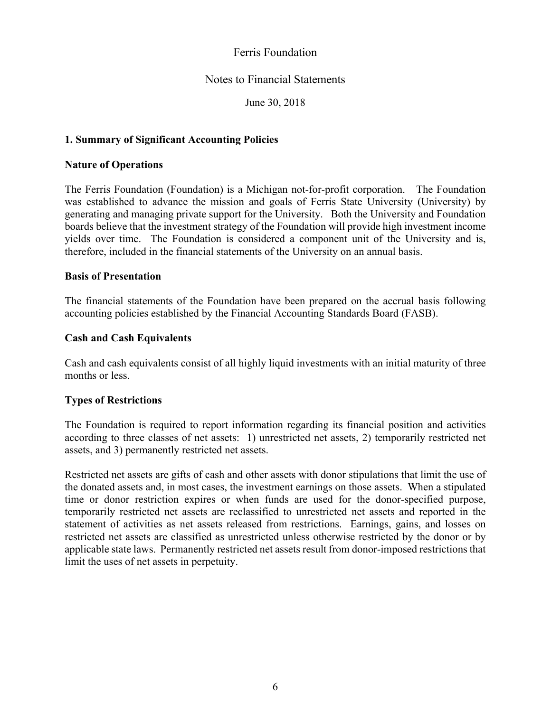## Notes to Financial Statements

June 30, 2018

## **1. Summary of Significant Accounting Policies**

#### **Nature of Operations**

The Ferris Foundation (Foundation) is a Michigan not-for-profit corporation. The Foundation was established to advance the mission and goals of Ferris State University (University) by generating and managing private support for the University. Both the University and Foundation boards believe that the investment strategy of the Foundation will provide high investment income yields over time. The Foundation is considered a component unit of the University and is, therefore, included in the financial statements of the University on an annual basis.

#### **Basis of Presentation**

The financial statements of the Foundation have been prepared on the accrual basis following accounting policies established by the Financial Accounting Standards Board (FASB).

#### **Cash and Cash Equivalents**

Cash and cash equivalents consist of all highly liquid investments with an initial maturity of three months or less.

#### **Types of Restrictions**

The Foundation is required to report information regarding its financial position and activities according to three classes of net assets: 1) unrestricted net assets, 2) temporarily restricted net assets, and 3) permanently restricted net assets.

Restricted net assets are gifts of cash and other assets with donor stipulations that limit the use of the donated assets and, in most cases, the investment earnings on those assets. When a stipulated time or donor restriction expires or when funds are used for the donor-specified purpose, temporarily restricted net assets are reclassified to unrestricted net assets and reported in the statement of activities as net assets released from restrictions. Earnings, gains, and losses on restricted net assets are classified as unrestricted unless otherwise restricted by the donor or by applicable state laws. Permanently restricted net assets result from donor-imposed restrictions that limit the uses of net assets in perpetuity.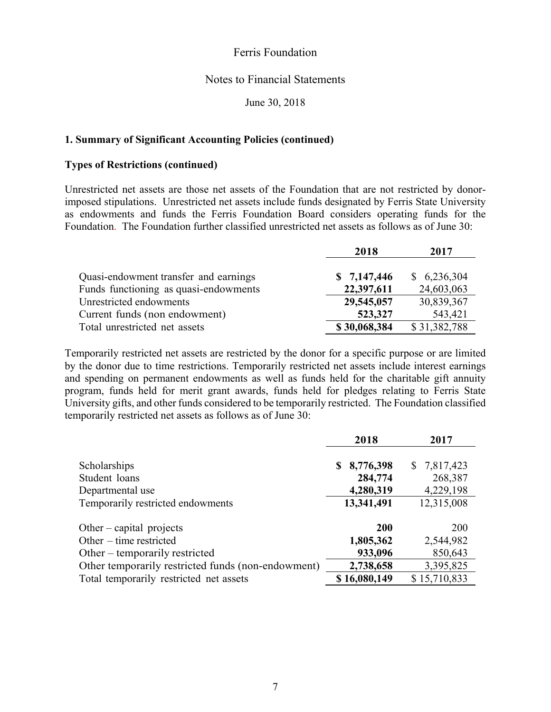#### Notes to Financial Statements

June 30, 2018

#### **1. Summary of Significant Accounting Policies (continued)**

#### **Types of Restrictions (continued)**

Unrestricted net assets are those net assets of the Foundation that are not restricted by donorimposed stipulations. Unrestricted net assets include funds designated by Ferris State University as endowments and funds the Ferris Foundation Board considers operating funds for the Foundation. The Foundation further classified unrestricted net assets as follows as of June 30:

|                                       | 2018         | 2017         |
|---------------------------------------|--------------|--------------|
| Quasi-endowment transfer and earnings | \$7,147,446  | \$6,236,304  |
| Funds functioning as quasi-endowments | 22,397,611   | 24,603,063   |
| Unrestricted endowments               | 29,545,057   | 30,839,367   |
| Current funds (non endowment)         | 523,327      | 543,421      |
| Total unrestricted net assets         | \$30,068,384 | \$31,382,788 |

Temporarily restricted net assets are restricted by the donor for a specific purpose or are limited by the donor due to time restrictions. Temporarily restricted net assets include interest earnings and spending on permanent endowments as well as funds held for the charitable gift annuity program, funds held for merit grant awards, funds held for pledges relating to Ferris State University gifts, and other funds considered to be temporarily restricted. The Foundation classified temporarily restricted net assets as follows as of June 30:

|                                                               | 2018                 | 2017                   |
|---------------------------------------------------------------|----------------------|------------------------|
| Scholarships<br>Student loans                                 | 8,776,398<br>284,774 | \$7,817,423<br>268,387 |
| Departmental use                                              | 4,280,319            | 4,229,198              |
| Temporarily restricted endowments                             | 13,341,491           | 12,315,008             |
| Other – capital projects                                      | 200                  | <b>200</b>             |
| Other $-$ time restricted<br>Other $-$ temporarily restricted | 1,805,362<br>933,096 | 2,544,982<br>850,643   |
| Other temporarily restricted funds (non-endowment)            | 2,738,658            | 3,395,825              |
| Total temporarily restricted net assets                       | \$16,080,149         | \$15,710,833           |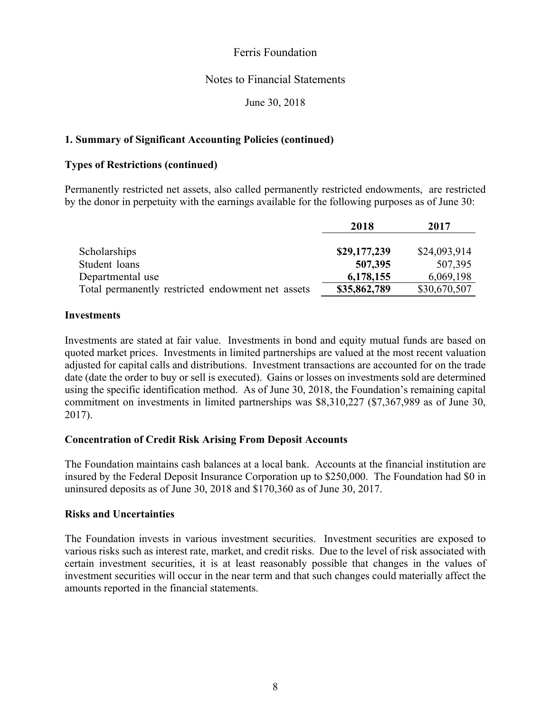#### Notes to Financial Statements

June 30, 2018

## **1. Summary of Significant Accounting Policies (continued)**

#### **Types of Restrictions (continued)**

Permanently restricted net assets, also called permanently restricted endowments, are restricted by the donor in perpetuity with the earnings available for the following purposes as of June 30:

|                                                   | 2018         | 2017         |
|---------------------------------------------------|--------------|--------------|
| Scholarships                                      | \$29,177,239 | \$24,093,914 |
| Student loans                                     | 507,395      | 507,395      |
| Departmental use                                  | 6,178,155    | 6,069,198    |
| Total permanently restricted endowment net assets | \$35,862,789 | \$30,670,507 |

#### **Investments**

Investments are stated at fair value. Investments in bond and equity mutual funds are based on quoted market prices. Investments in limited partnerships are valued at the most recent valuation adjusted for capital calls and distributions. Investment transactions are accounted for on the trade date (date the order to buy or sell is executed). Gains or losses on investments sold are determined using the specific identification method. As of June 30, 2018, the Foundation's remaining capital commitment on investments in limited partnerships was \$8,310,227 (\$7,367,989 as of June 30, 2017).

#### **Concentration of Credit Risk Arising From Deposit Accounts**

The Foundation maintains cash balances at a local bank. Accounts at the financial institution are insured by the Federal Deposit Insurance Corporation up to \$250,000. The Foundation had \$0 in uninsured deposits as of June 30, 2018 and \$170,360 as of June 30, 2017.

#### **Risks and Uncertainties**

The Foundation invests in various investment securities. Investment securities are exposed to various risks such as interest rate, market, and credit risks. Due to the level of risk associated with certain investment securities, it is at least reasonably possible that changes in the values of investment securities will occur in the near term and that such changes could materially affect the amounts reported in the financial statements.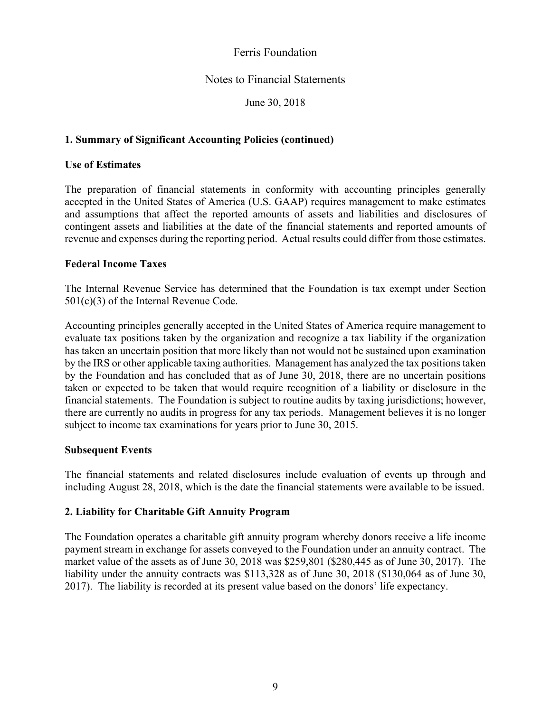## Notes to Financial Statements

June 30, 2018

## **1. Summary of Significant Accounting Policies (continued)**

#### **Use of Estimates**

The preparation of financial statements in conformity with accounting principles generally accepted in the United States of America (U.S. GAAP) requires management to make estimates and assumptions that affect the reported amounts of assets and liabilities and disclosures of contingent assets and liabilities at the date of the financial statements and reported amounts of revenue and expenses during the reporting period. Actual results could differ from those estimates.

#### **Federal Income Taxes**

The Internal Revenue Service has determined that the Foundation is tax exempt under Section 501(c)(3) of the Internal Revenue Code.

Accounting principles generally accepted in the United States of America require management to evaluate tax positions taken by the organization and recognize a tax liability if the organization has taken an uncertain position that more likely than not would not be sustained upon examination by the IRS or other applicable taxing authorities. Management has analyzed the tax positions taken by the Foundation and has concluded that as of June 30, 2018, there are no uncertain positions taken or expected to be taken that would require recognition of a liability or disclosure in the financial statements. The Foundation is subject to routine audits by taxing jurisdictions; however, there are currently no audits in progress for any tax periods. Management believes it is no longer subject to income tax examinations for years prior to June 30, 2015.

#### **Subsequent Events**

The financial statements and related disclosures include evaluation of events up through and including August 28, 2018, which is the date the financial statements were available to be issued.

## **2. Liability for Charitable Gift Annuity Program**

The Foundation operates a charitable gift annuity program whereby donors receive a life income payment stream in exchange for assets conveyed to the Foundation under an annuity contract. The market value of the assets as of June 30, 2018 was \$259,801 (\$280,445 as of June 30, 2017). The liability under the annuity contracts was \$113,328 as of June 30, 2018 (\$130,064 as of June 30, 2017). The liability is recorded at its present value based on the donors' life expectancy.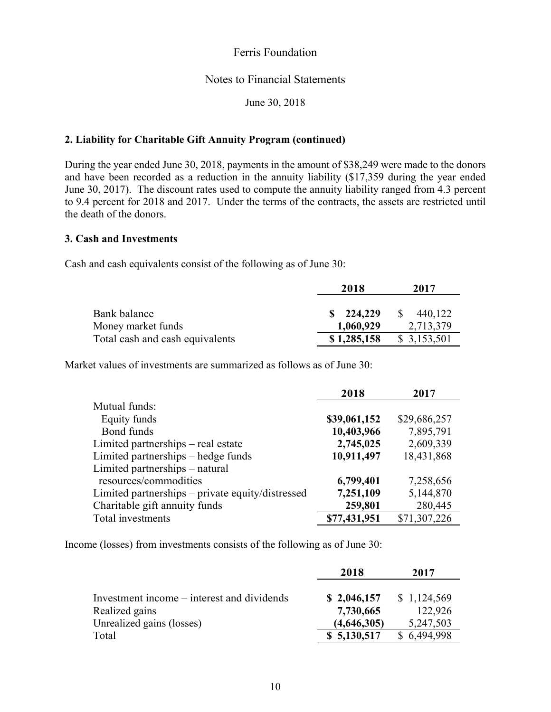#### Notes to Financial Statements

June 30, 2018

#### **2. Liability for Charitable Gift Annuity Program (continued)**

During the year ended June 30, 2018, payments in the amount of \$38,249 were made to the donors and have been recorded as a reduction in the annuity liability (\$17,359 during the year ended June 30, 2017). The discount rates used to compute the annuity liability ranged from 4.3 percent to 9.4 percent for 2018 and 2017. Under the terms of the contracts, the assets are restricted until the death of the donors.

#### **3. Cash and Investments**

Cash and cash equivalents consist of the following as of June 30:

|                                 | 2018                 | 2017                    |
|---------------------------------|----------------------|-------------------------|
|                                 |                      |                         |
| Bank balance                    | $\frac{\$}{224,229}$ | 440,122<br><sup>S</sup> |
| Money market funds              | 1,060,929            | 2,713,379               |
| Total cash and cash equivalents | \$1,285,158          | \$3,153,501             |

Market values of investments are summarized as follows as of June 30:

|                                                  | 2018         | 2017         |
|--------------------------------------------------|--------------|--------------|
| Mutual funds:                                    |              |              |
| Equity funds                                     | \$39,061,152 | \$29,686,257 |
| Bond funds                                       | 10,403,966   | 7,895,791    |
| Limited partnerships – real estate               | 2,745,025    | 2,609,339    |
| Limited partnerships – hedge funds               | 10,911,497   | 18,431,868   |
| Limited partnerships – natural                   |              |              |
| resources/commodities                            | 6,799,401    | 7,258,656    |
| Limited partnerships - private equity/distressed | 7,251,109    | 5,144,870    |
| Charitable gift annuity funds                    | 259,801      | 280,445      |
| Total investments                                | \$77,431,951 | \$71,307,226 |

Income (losses) from investments consists of the following as of June 30:

|                                            | 2018        | 2017        |
|--------------------------------------------|-------------|-------------|
|                                            |             |             |
| Investment income – interest and dividends | \$2,046,157 | \$1,124,569 |
| Realized gains                             | 7,730,665   | 122,926     |
| Unrealized gains (losses)                  | (4,646,305) | 5,247,503   |
| Total                                      | \$5,130,517 | \$6,494,998 |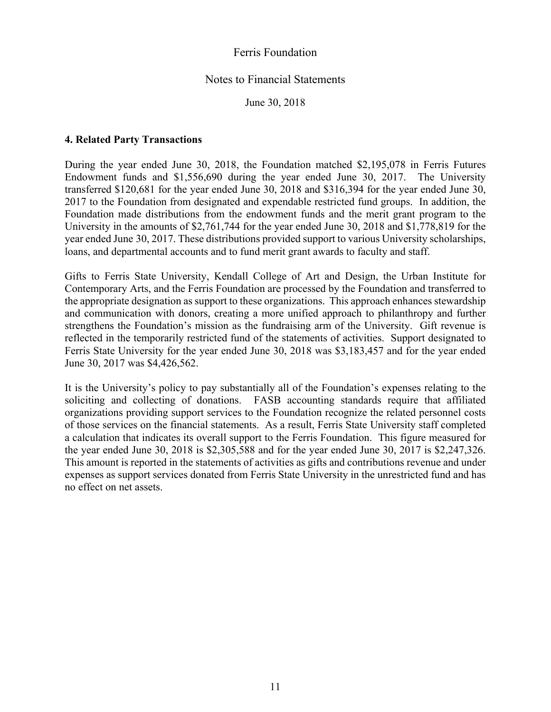#### Notes to Financial Statements

June 30, 2018

#### **4. Related Party Transactions**

During the year ended June 30, 2018, the Foundation matched \$2,195,078 in Ferris Futures Endowment funds and \$1,556,690 during the year ended June 30, 2017. The University transferred \$120,681 for the year ended June 30, 2018 and \$316,394 for the year ended June 30, 2017 to the Foundation from designated and expendable restricted fund groups. In addition, the Foundation made distributions from the endowment funds and the merit grant program to the University in the amounts of \$2,761,744 for the year ended June 30, 2018 and \$1,778,819 for the year ended June 30, 2017. These distributions provided support to various University scholarships, loans, and departmental accounts and to fund merit grant awards to faculty and staff.

Gifts to Ferris State University, Kendall College of Art and Design, the Urban Institute for Contemporary Arts, and the Ferris Foundation are processed by the Foundation and transferred to the appropriate designation as support to these organizations. This approach enhances stewardship and communication with donors, creating a more unified approach to philanthropy and further strengthens the Foundation's mission as the fundraising arm of the University. Gift revenue is reflected in the temporarily restricted fund of the statements of activities. Support designated to Ferris State University for the year ended June 30, 2018 was \$3,183,457 and for the year ended June 30, 2017 was \$4,426,562.

It is the University's policy to pay substantially all of the Foundation's expenses relating to the soliciting and collecting of donations. FASB accounting standards require that affiliated organizations providing support services to the Foundation recognize the related personnel costs of those services on the financial statements. As a result, Ferris State University staff completed a calculation that indicates its overall support to the Ferris Foundation. This figure measured for the year ended June 30, 2018 is \$2,305,588 and for the year ended June 30, 2017 is \$2,247,326. This amount is reported in the statements of activities as gifts and contributions revenue and under expenses as support services donated from Ferris State University in the unrestricted fund and has no effect on net assets.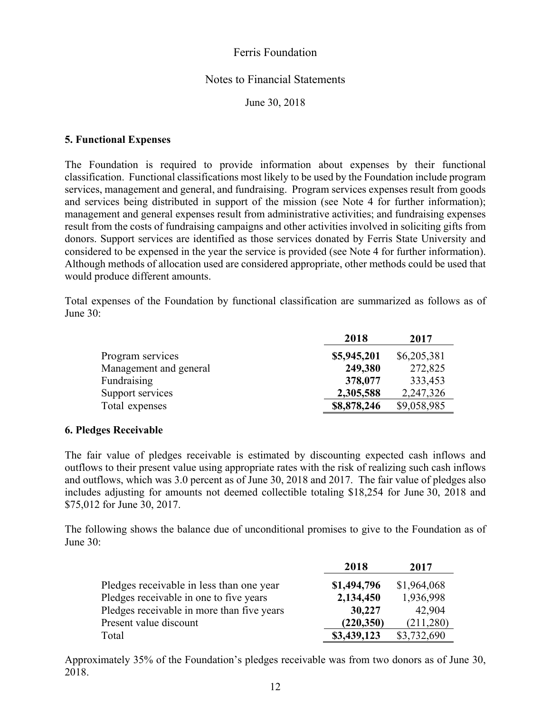#### Notes to Financial Statements

June 30, 2018

#### **5. Functional Expenses**

The Foundation is required to provide information about expenses by their functional classification. Functional classifications most likely to be used by the Foundation include program services, management and general, and fundraising. Program services expenses result from goods and services being distributed in support of the mission (see Note 4 for further information); management and general expenses result from administrative activities; and fundraising expenses result from the costs of fundraising campaigns and other activities involved in soliciting gifts from donors. Support services are identified as those services donated by Ferris State University and considered to be expensed in the year the service is provided (see Note 4 for further information). Although methods of allocation used are considered appropriate, other methods could be used that would produce different amounts.

Total expenses of the Foundation by functional classification are summarized as follows as of June 30:

|                        | 2018        | 2017        |
|------------------------|-------------|-------------|
| Program services       | \$5,945,201 | \$6,205,381 |
| Management and general | 249,380     | 272,825     |
| Fundraising            | 378,077     | 333,453     |
| Support services       | 2,305,588   | 2,247,326   |
| Total expenses         | \$8,878,246 | \$9,058,985 |

#### **6. Pledges Receivable**

The fair value of pledges receivable is estimated by discounting expected cash inflows and outflows to their present value using appropriate rates with the risk of realizing such cash inflows and outflows, which was 3.0 percent as of June 30, 2018 and 2017. The fair value of pledges also includes adjusting for amounts not deemed collectible totaling \$18,254 for June 30, 2018 and \$75,012 for June 30, 2017.

The following shows the balance due of unconditional promises to give to the Foundation as of June 30:

|                                            | 2018        | 2017        |
|--------------------------------------------|-------------|-------------|
| Pledges receivable in less than one year   | \$1,494,796 | \$1,964,068 |
| Pledges receivable in one to five years    | 2,134,450   | 1,936,998   |
| Pledges receivable in more than five years | 30,227      | 42,904      |
| Present value discount                     | (220, 350)  | (211,280)   |
| Total                                      | \$3,439,123 | \$3,732,690 |

Approximately 35% of the Foundation's pledges receivable was from two donors as of June 30, 2018.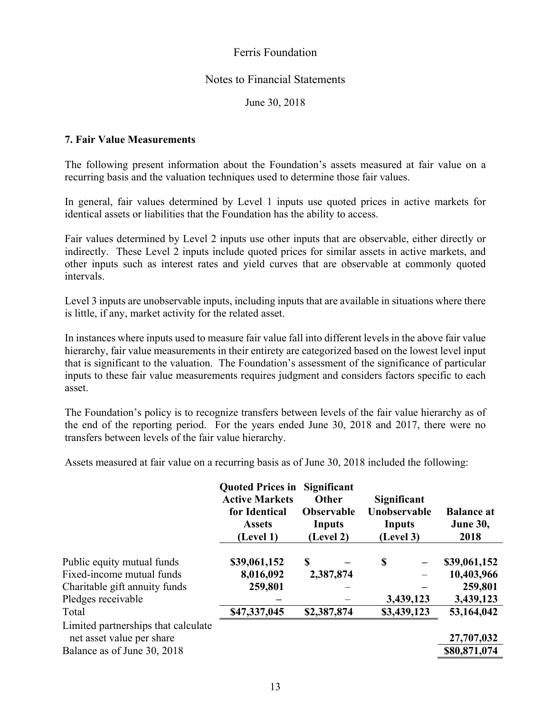#### Notes to Financial Statements

June 30, 2018

#### **7. Fair Value Measurements**

The following present information about the Foundation's assets measured at fair value on a recurring basis and the valuation techniques used to determine those fair values.

In general, fair values determined by Level 1 inputs use quoted prices in active markets for identical assets or liabilities that the Foundation has the ability to access.

Fair values determined by Level 2 inputs use other inputs that are observable, either directly or indirectly. These Level 2 inputs include quoted prices for similar assets in active markets, and other inputs such as interest rates and yield curves that are observable at commonly quoted intervals.

Level 3 inputs are unobservable inputs, including inputs that are available in situations where there is little, if any, market activity for the related asset.

In instances where inputs used to measure fair value fall into different levels in the above fair value hierarchy, fair value measurements in their entirety are categorized based on the lowest level input that is significant to the valuation. The Foundation's assessment of the significance of particular inputs to these fair value measurements requires judgment and considers factors specific to each asset.

The Foundation's policy is to recognize transfers between levels of the fair value hierarchy as of the end of the reporting period. For the years ended June 30, 2018 and 2017, there were no transfers between levels of the fair value hierarchy.

Assets measured at fair value on a recurring basis as of June 30, 2018 included the following:

|                                     | <b>Quoted Prices in</b><br><b>Active Markets</b><br>for Identical<br><b>Assets</b><br>(Level 1) | Significant<br><b>Other</b><br><b>Observable</b><br>Inputs<br>(Level 2) | Significant<br>Unobservable<br>Inputs<br>(Level 3) | <b>Balance at</b><br><b>June 30,</b><br>2018 |
|-------------------------------------|-------------------------------------------------------------------------------------------------|-------------------------------------------------------------------------|----------------------------------------------------|----------------------------------------------|
|                                     |                                                                                                 |                                                                         |                                                    |                                              |
| Public equity mutual funds          | \$39,061,152                                                                                    | S                                                                       | S<br>$\overline{\phantom{0}}$                      | \$39,061,152                                 |
| Fixed-income mutual funds           | 8,016,092                                                                                       | 2,387,874                                                               |                                                    | 10,403,966                                   |
| Charitable gift annuity funds       | 259,801                                                                                         |                                                                         |                                                    | 259,801                                      |
| Pledges receivable                  |                                                                                                 |                                                                         | 3,439,123                                          | 3,439,123                                    |
| Total                               | \$47,337,045                                                                                    | \$2,387,874                                                             | \$3,439,123                                        | 53,164,042                                   |
| Limited partnerships that calculate |                                                                                                 |                                                                         |                                                    |                                              |
| net asset value per share           |                                                                                                 |                                                                         |                                                    | 27,707,032                                   |
| Balance as of June 30, 2018         |                                                                                                 |                                                                         |                                                    | \$80,871,074                                 |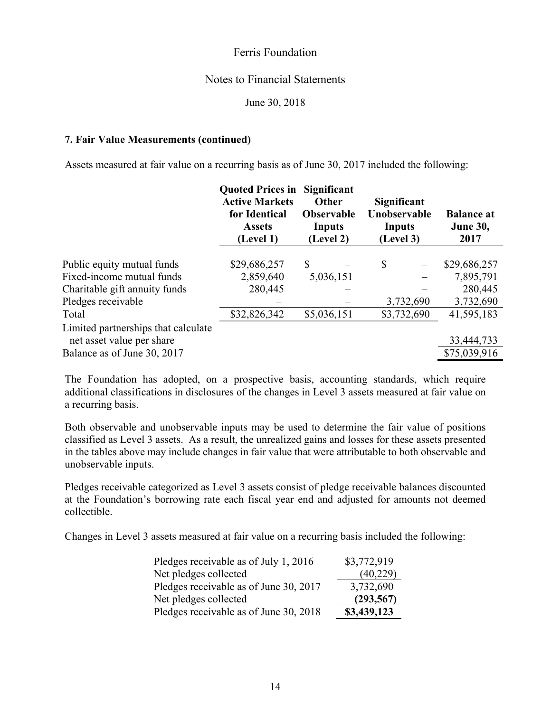#### Notes to Financial Statements

June 30, 2018

#### **7. Fair Value Measurements (continued)**

Assets measured at fair value on a recurring basis as of June 30, 2017 included the following:

|                                     | <b>Quoted Prices in</b><br><b>Active Markets</b><br>for Identical<br><b>Assets</b><br>(Level 1) | Significant<br>Other<br>Observable<br>Inputs<br>(Level 2) | Significant<br>Unobservable<br>Inputs<br>(Level 3) | <b>Balance at</b><br><b>June 30,</b><br>2017 |
|-------------------------------------|-------------------------------------------------------------------------------------------------|-----------------------------------------------------------|----------------------------------------------------|----------------------------------------------|
|                                     |                                                                                                 |                                                           |                                                    |                                              |
| Public equity mutual funds          | \$29,686,257                                                                                    | $\mathbb{S}$                                              | \$<br>$\overline{\phantom{m}}$                     | \$29,686,257                                 |
| Fixed-income mutual funds           | 2,859,640                                                                                       | 5,036,151                                                 |                                                    | 7,895,791                                    |
| Charitable gift annuity funds       | 280,445                                                                                         |                                                           |                                                    | 280,445                                      |
| Pledges receivable                  |                                                                                                 |                                                           | 3,732,690                                          | 3,732,690                                    |
| Total                               | \$32,826,342                                                                                    | \$5,036,151                                               | \$3,732,690                                        | 41,595,183                                   |
| Limited partnerships that calculate |                                                                                                 |                                                           |                                                    |                                              |
| net asset value per share           |                                                                                                 |                                                           |                                                    | 33,444,733                                   |
| Balance as of June 30, 2017         |                                                                                                 |                                                           |                                                    | \$75,039,916                                 |

The Foundation has adopted, on a prospective basis, accounting standards, which require additional classifications in disclosures of the changes in Level 3 assets measured at fair value on a recurring basis.

Both observable and unobservable inputs may be used to determine the fair value of positions classified as Level 3 assets. As a result, the unrealized gains and losses for these assets presented in the tables above may include changes in fair value that were attributable to both observable and unobservable inputs.

Pledges receivable categorized as Level 3 assets consist of pledge receivable balances discounted at the Foundation's borrowing rate each fiscal year end and adjusted for amounts not deemed collectible.

Changes in Level 3 assets measured at fair value on a recurring basis included the following:

| Pledges receivable as of July 1, 2016  | \$3,772,919 |
|----------------------------------------|-------------|
| Net pledges collected                  | (40,229)    |
| Pledges receivable as of June 30, 2017 | 3,732,690   |
| Net pledges collected                  | (293, 567)  |
| Pledges receivable as of June 30, 2018 | \$3,439,123 |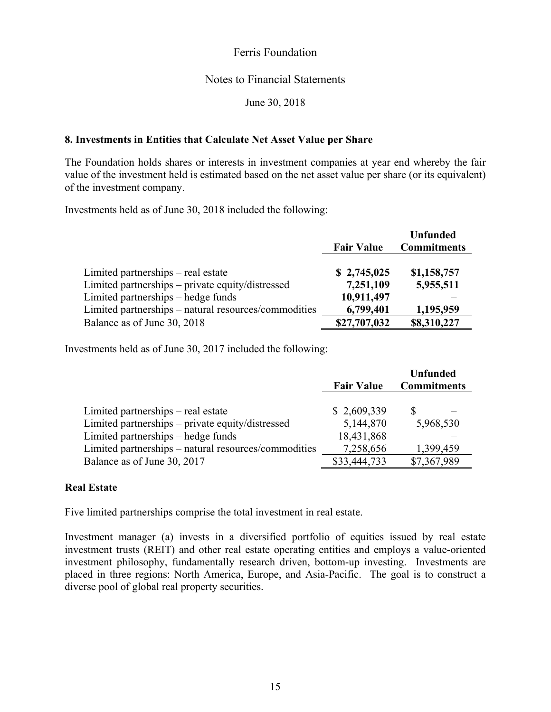## Notes to Financial Statements

June 30, 2018

#### **8. Investments in Entities that Calculate Net Asset Value per Share**

The Foundation holds shares or interests in investment companies at year end whereby the fair value of the investment held is estimated based on the net asset value per share (or its equivalent) of the investment company.

Investments held as of June 30, 2018 included the following:

|                                                      |                   | <b>Unfunded</b>    |
|------------------------------------------------------|-------------------|--------------------|
|                                                      | <b>Fair Value</b> | <b>Commitments</b> |
|                                                      |                   |                    |
| Limited partnerships – real estate                   | \$2,745,025       | \$1,158,757        |
| Limited partnerships – private equity/distressed     | 7,251,109         | 5,955,511          |
| Limited partnerships – hedge funds                   | 10,911,497        |                    |
| Limited partnerships - natural resources/commodities | 6,799,401         | 1,195,959          |
| Balance as of June 30, 2018                          | \$27,707,032      | \$8,310,227        |

Investments held as of June 30, 2017 included the following:

|                                                      | <b>Fair Value</b> | <b>Unfunded</b><br><b>Commitments</b> |
|------------------------------------------------------|-------------------|---------------------------------------|
| Limited partnerships – real estate                   | \$2,609,339       |                                       |
| Limited partnerships – private equity/distressed     | 5,144,870         | 5,968,530                             |
| Limited partnerships – hedge funds                   | 18,431,868        |                                       |
| Limited partnerships - natural resources/commodities | 7,258,656         | 1,399,459                             |
| Balance as of June 30, 2017                          | \$33,444,733      | \$7,367,989                           |

#### **Real Estate**

Five limited partnerships comprise the total investment in real estate.

Investment manager (a) invests in a diversified portfolio of equities issued by real estate investment trusts (REIT) and other real estate operating entities and employs a value-oriented investment philosophy, fundamentally research driven, bottom-up investing. Investments are placed in three regions: North America, Europe, and Asia-Pacific. The goal is to construct a diverse pool of global real property securities.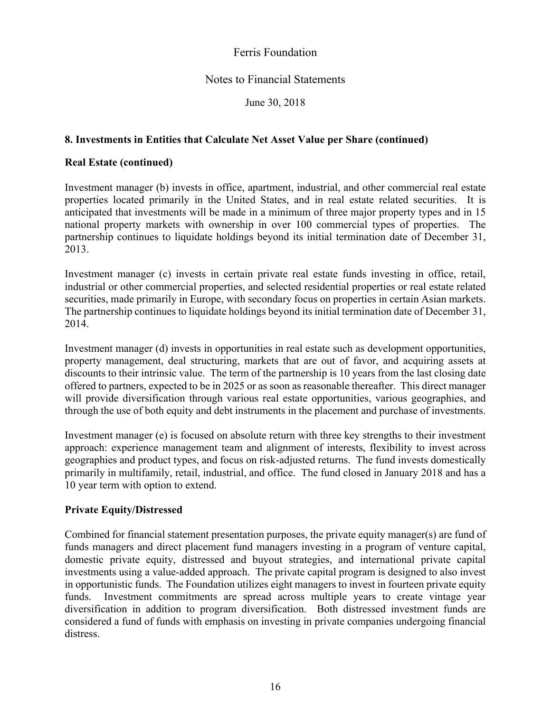## Notes to Financial Statements

June 30, 2018

## **8. Investments in Entities that Calculate Net Asset Value per Share (continued)**

#### **Real Estate (continued)**

Investment manager (b) invests in office, apartment, industrial, and other commercial real estate properties located primarily in the United States, and in real estate related securities. It is anticipated that investments will be made in a minimum of three major property types and in 15 national property markets with ownership in over 100 commercial types of properties. The partnership continues to liquidate holdings beyond its initial termination date of December 31, 2013.

Investment manager (c) invests in certain private real estate funds investing in office, retail, industrial or other commercial properties, and selected residential properties or real estate related securities, made primarily in Europe, with secondary focus on properties in certain Asian markets. The partnership continues to liquidate holdings beyond its initial termination date of December 31, 2014.

Investment manager (d) invests in opportunities in real estate such as development opportunities, property management, deal structuring, markets that are out of favor, and acquiring assets at discounts to their intrinsic value. The term of the partnership is 10 years from the last closing date offered to partners, expected to be in 2025 or as soon as reasonable thereafter. This direct manager will provide diversification through various real estate opportunities, various geographies, and through the use of both equity and debt instruments in the placement and purchase of investments.

Investment manager (e) is focused on absolute return with three key strengths to their investment approach: experience management team and alignment of interests, flexibility to invest across geographies and product types, and focus on risk-adjusted returns. The fund invests domestically primarily in multifamily, retail, industrial, and office. The fund closed in January 2018 and has a 10 year term with option to extend.

## **Private Equity/Distressed**

Combined for financial statement presentation purposes, the private equity manager(s) are fund of funds managers and direct placement fund managers investing in a program of venture capital, domestic private equity, distressed and buyout strategies, and international private capital investments using a value-added approach. The private capital program is designed to also invest in opportunistic funds. The Foundation utilizes eight managers to invest in fourteen private equity funds. Investment commitments are spread across multiple years to create vintage year diversification in addition to program diversification. Both distressed investment funds are considered a fund of funds with emphasis on investing in private companies undergoing financial distress.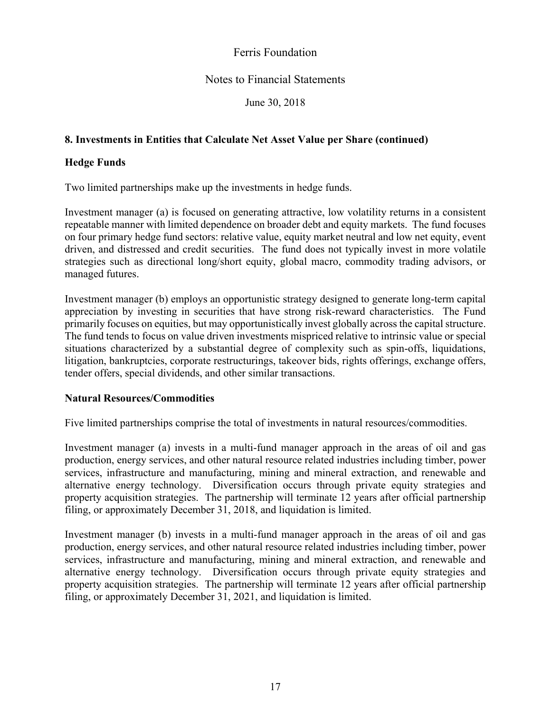## Notes to Financial Statements

June 30, 2018

## **8. Investments in Entities that Calculate Net Asset Value per Share (continued)**

#### **Hedge Funds**

Two limited partnerships make up the investments in hedge funds.

Investment manager (a) is focused on generating attractive, low volatility returns in a consistent repeatable manner with limited dependence on broader debt and equity markets. The fund focuses on four primary hedge fund sectors: relative value, equity market neutral and low net equity, event driven, and distressed and credit securities. The fund does not typically invest in more volatile strategies such as directional long/short equity, global macro, commodity trading advisors, or managed futures.

Investment manager (b) employs an opportunistic strategy designed to generate long-term capital appreciation by investing in securities that have strong risk-reward characteristics. The Fund primarily focuses on equities, but may opportunistically invest globally across the capital structure. The fund tends to focus on value driven investments mispriced relative to intrinsic value or special situations characterized by a substantial degree of complexity such as spin-offs, liquidations, litigation, bankruptcies, corporate restructurings, takeover bids, rights offerings, exchange offers, tender offers, special dividends, and other similar transactions.

#### **Natural Resources/Commodities**

Five limited partnerships comprise the total of investments in natural resources/commodities.

Investment manager (a) invests in a multi-fund manager approach in the areas of oil and gas production, energy services, and other natural resource related industries including timber, power services, infrastructure and manufacturing, mining and mineral extraction, and renewable and alternative energy technology. Diversification occurs through private equity strategies and property acquisition strategies. The partnership will terminate 12 years after official partnership filing, or approximately December 31, 2018, and liquidation is limited.

Investment manager (b) invests in a multi-fund manager approach in the areas of oil and gas production, energy services, and other natural resource related industries including timber, power services, infrastructure and manufacturing, mining and mineral extraction, and renewable and alternative energy technology. Diversification occurs through private equity strategies and property acquisition strategies. The partnership will terminate 12 years after official partnership filing, or approximately December 31, 2021, and liquidation is limited.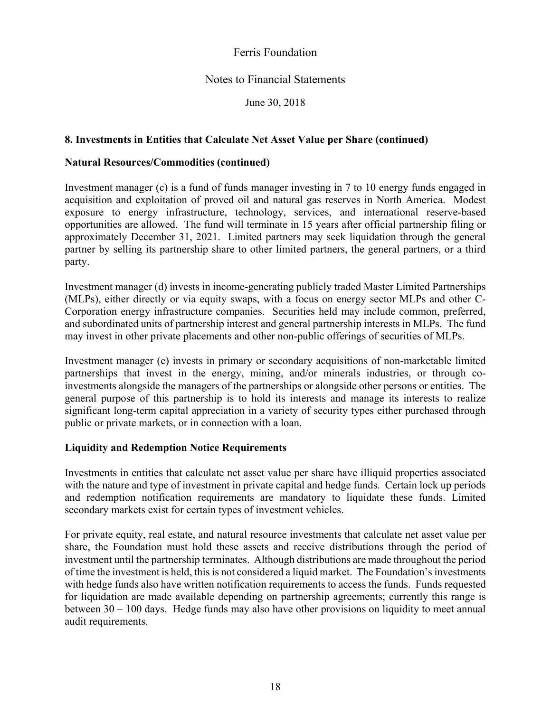## Notes to Financial Statements

June 30, 2018

#### **8. Investments in Entities that Calculate Net Asset Value per Share (continued)**

#### **Natural Resources/Commodities (continued)**

Investment manager (c) is a fund of funds manager investing in 7 to 10 energy funds engaged in acquisition and exploitation of proved oil and natural gas reserves in North America. Modest exposure to energy infrastructure, technology, services, and international reserve-based opportunities are allowed. The fund will terminate in 15 years after official partnership filing or approximately December 31, 2021. Limited partners may seek liquidation through the general partner by selling its partnership share to other limited partners, the general partners, or a third party.

Investment manager (d) invests in income-generating publicly traded Master Limited Partnerships (MLPs), either directly or via equity swaps, with a focus on energy sector MLPs and other C-Corporation energy infrastructure companies. Securities held may include common, preferred, and subordinated units of partnership interest and general partnership interests in MLPs. The fund may invest in other private placements and other non-public offerings of securities of MLPs.

Investment manager (e) invests in primary or secondary acquisitions of non-marketable limited partnerships that invest in the energy, mining, and/or minerals industries, or through coinvestments alongside the managers of the partnerships or alongside other persons or entities. The general purpose of this partnership is to hold its interests and manage its interests to realize significant long-term capital appreciation in a variety of security types either purchased through public or private markets, or in connection with a loan.

#### **Liquidity and Redemption Notice Requirements**

Investments in entities that calculate net asset value per share have illiquid properties associated with the nature and type of investment in private capital and hedge funds. Certain lock up periods and redemption notification requirements are mandatory to liquidate these funds. Limited secondary markets exist for certain types of investment vehicles.

For private equity, real estate, and natural resource investments that calculate net asset value per share, the Foundation must hold these assets and receive distributions through the period of investment until the partnership terminates. Although distributions are made throughout the period of time the investment is held, this is not considered a liquid market. The Foundation's investments with hedge funds also have written notification requirements to access the funds. Funds requested for liquidation are made available depending on partnership agreements; currently this range is between  $30 - 100$  days. Hedge funds may also have other provisions on liquidity to meet annual audit requirements.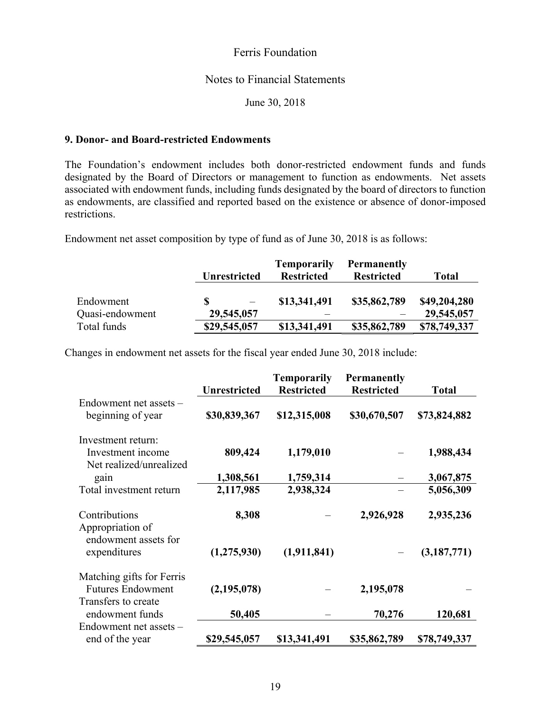#### Notes to Financial Statements

June 30, 2018

#### **9. Donor- and Board-restricted Endowments**

The Foundation's endowment includes both donor-restricted endowment funds and funds designated by the Board of Directors or management to function as endowments. Net assets associated with endowment funds, including funds designated by the board of directors to function as endowments, are classified and reported based on the existence or absence of donor-imposed restrictions.

Endowment net asset composition by type of fund as of June 30, 2018 is as follows:

|                 |                     | <b>Temporarily</b> | <b>Permanently</b> |              |
|-----------------|---------------------|--------------------|--------------------|--------------|
|                 | <b>Unrestricted</b> | <b>Restricted</b>  | <b>Restricted</b>  | <b>Total</b> |
|                 |                     |                    |                    |              |
| Endowment       | S                   | \$13,341,491       | \$35,862,789       | \$49,204,280 |
| Quasi-endowment | 29,545,057          |                    |                    | 29,545,057   |
| Total funds     | \$29,545,057        | \$13,341,491       | \$35,862,789       | \$78,749,337 |

Changes in endowment net assets for the fiscal year ended June 30, 2018 include:

|                                                           |                     | <b>Temporarily</b> | <b>Permanently</b> |              |
|-----------------------------------------------------------|---------------------|--------------------|--------------------|--------------|
|                                                           | <b>Unrestricted</b> | <b>Restricted</b>  | <b>Restricted</b>  | <b>Total</b> |
| Endowment net assets -<br>beginning of year               | \$30,839,367        | \$12,315,008       | \$30,670,507       | \$73,824,882 |
| Investment return:                                        |                     |                    |                    |              |
| Investment income<br>Net realized/unrealized              | 809,424             | 1,179,010          |                    | 1,988,434    |
| gain                                                      | 1,308,561           | 1,759,314          |                    | 3,067,875    |
| Total investment return                                   | 2,117,985           | 2,938,324          |                    | 5,056,309    |
| Contributions<br>Appropriation of<br>endowment assets for | 8,308               |                    | 2,926,928          | 2,935,236    |
| expenditures                                              | (1, 275, 930)       | (1,911,841)        |                    | (3,187,771)  |
| Matching gifts for Ferris                                 |                     |                    |                    |              |
| <b>Futures Endowment</b>                                  | (2, 195, 078)       |                    | 2,195,078          |              |
| Transfers to create                                       |                     |                    |                    |              |
| endowment funds                                           | 50,405              |                    | 70,276             | 120,681      |
| Endowment net assets -                                    |                     |                    |                    |              |
| end of the year                                           | \$29,545,057        | \$13,341,491       | \$35,862,789       | \$78,749,337 |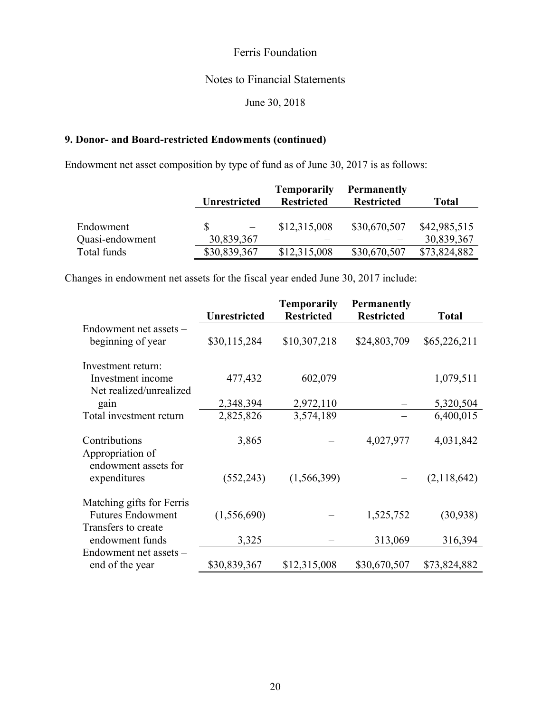# Notes to Financial Statements

June 30, 2018

## **9. Donor- and Board-restricted Endowments (continued)**

Endowment net asset composition by type of fund as of June 30, 2017 is as follows:

|                 |                     | <b>Temporarily</b> | <b>Permanently</b> |              |
|-----------------|---------------------|--------------------|--------------------|--------------|
|                 | <b>Unrestricted</b> | <b>Restricted</b>  | <b>Restricted</b>  | <b>Total</b> |
|                 |                     |                    |                    |              |
| Endowment       |                     | \$12,315,008       | \$30,670,507       | \$42,985,515 |
| Quasi-endowment | 30,839,367          |                    |                    | 30,839,367   |
| Total funds     | \$30,839,367        | \$12,315,008       | \$30,670,507       | \$73,824,882 |

Changes in endowment net assets for the fiscal year ended June 30, 2017 include:

|                                          | <b>Unrestricted</b> | Temporarily<br><b>Restricted</b> | <b>Permanently</b><br><b>Restricted</b> | <b>Total</b> |
|------------------------------------------|---------------------|----------------------------------|-----------------------------------------|--------------|
| Endowment net assets -                   |                     |                                  |                                         |              |
| beginning of year                        | \$30,115,284        | \$10,307,218                     | \$24,803,709                            | \$65,226,211 |
| Investment return:                       |                     |                                  |                                         |              |
| Investment income                        | 477,432             | 602,079                          |                                         | 1,079,511    |
| Net realized/unrealized                  |                     |                                  |                                         |              |
| gain                                     | 2,348,394           | 2,972,110                        |                                         | 5,320,504    |
| Total investment return                  | 2,825,826           | 3,574,189                        |                                         | 6,400,015    |
|                                          |                     |                                  |                                         |              |
| Contributions                            | 3,865               |                                  | 4,027,977                               | 4,031,842    |
| Appropriation of<br>endowment assets for |                     |                                  |                                         |              |
| expenditures                             | (552, 243)          | (1, 566, 399)                    |                                         | (2,118,642)  |
| Matching gifts for Ferris                |                     |                                  |                                         |              |
| <b>Futures Endowment</b>                 | (1,556,690)         |                                  | 1,525,752                               | (30,938)     |
| Transfers to create                      |                     |                                  |                                         |              |
| endowment funds                          | 3,325               |                                  | 313,069                                 | 316,394      |
| Endowment net assets -                   |                     |                                  |                                         |              |
| end of the year                          | \$30,839,367        | \$12,315,008                     | \$30,670,507                            | \$73,824,882 |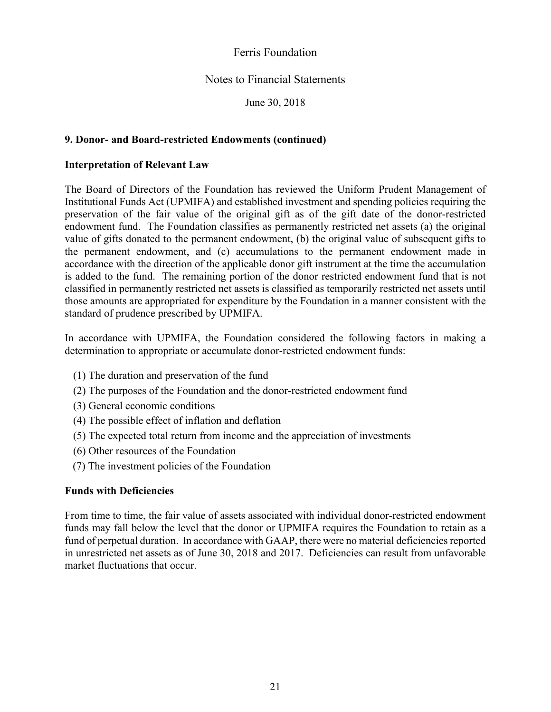## Notes to Financial Statements

June 30, 2018

#### **9. Donor- and Board-restricted Endowments (continued)**

#### **Interpretation of Relevant Law**

The Board of Directors of the Foundation has reviewed the Uniform Prudent Management of Institutional Funds Act (UPMIFA) and established investment and spending policies requiring the preservation of the fair value of the original gift as of the gift date of the donor-restricted endowment fund. The Foundation classifies as permanently restricted net assets (a) the original value of gifts donated to the permanent endowment, (b) the original value of subsequent gifts to the permanent endowment, and (c) accumulations to the permanent endowment made in accordance with the direction of the applicable donor gift instrument at the time the accumulation is added to the fund. The remaining portion of the donor restricted endowment fund that is not classified in permanently restricted net assets is classified as temporarily restricted net assets until those amounts are appropriated for expenditure by the Foundation in a manner consistent with the standard of prudence prescribed by UPMIFA.

In accordance with UPMIFA, the Foundation considered the following factors in making a determination to appropriate or accumulate donor-restricted endowment funds:

- (1) The duration and preservation of the fund
- (2) The purposes of the Foundation and the donor-restricted endowment fund
- (3) General economic conditions
- (4) The possible effect of inflation and deflation
- (5) The expected total return from income and the appreciation of investments
- (6) Other resources of the Foundation
- (7) The investment policies of the Foundation

#### **Funds with Deficiencies**

From time to time, the fair value of assets associated with individual donor-restricted endowment funds may fall below the level that the donor or UPMIFA requires the Foundation to retain as a fund of perpetual duration. In accordance with GAAP, there were no material deficiencies reported in unrestricted net assets as of June 30, 2018 and 2017. Deficiencies can result from unfavorable market fluctuations that occur.